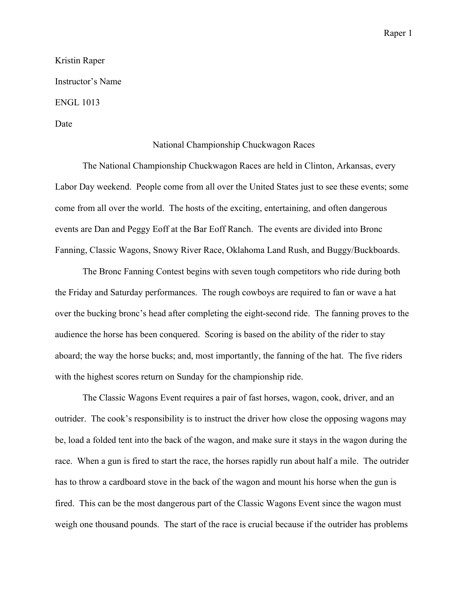Raper 1

## Kristin Raper Instructor's Name ENGL 1013 Date

## National Championship Chuckwagon Races

The National Championship Chuckwagon Races are held in Clinton, Arkansas, every Labor Day weekend. People come from all over the United States just to see these events; some come from all over the world. The hosts of the exciting, entertaining, and often dangerous events are Dan and Peggy Eoff at the Bar Eoff Ranch. The events are divided into Bronc Fanning, Classic Wagons, Snowy River Race, Oklahoma Land Rush, and Buggy/Buckboards.

The Bronc Fanning Contest begins with seven tough competitors who ride during both the Friday and Saturday performances. The rough cowboys are required to fan or wave a hat over the bucking bronc's head after completing the eight-second ride. The fanning proves to the audience the horse has been conquered. Scoring is based on the ability of the rider to stay aboard; the way the horse bucks; and, most importantly, the fanning of the hat. The five riders with the highest scores return on Sunday for the championship ride.

The Classic Wagons Event requires a pair of fast horses, wagon, cook, driver, and an outrider. The cook's responsibility is to instruct the driver how close the opposing wagons may be, load a folded tent into the back of the wagon, and make sure it stays in the wagon during the race. When a gun is fired to start the race, the horses rapidly run about half a mile. The outrider has to throw a cardboard stove in the back of the wagon and mount his horse when the gun is fired. This can be the most dangerous part of the Classic Wagons Event since the wagon must weigh one thousand pounds. The start of the race is crucial because if the outrider has problems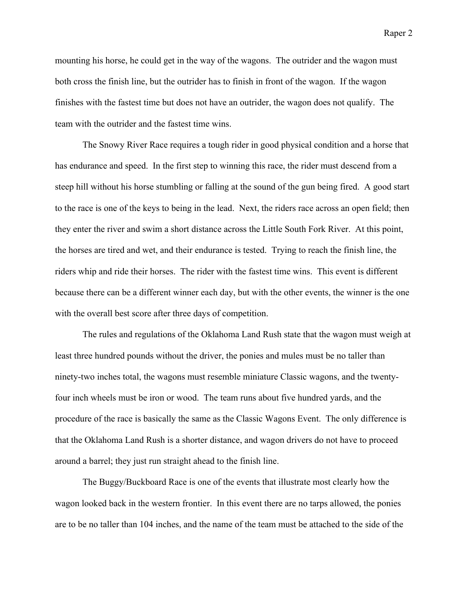mounting his horse, he could get in the way of the wagons. The outrider and the wagon must both cross the finish line, but the outrider has to finish in front of the wagon. If the wagon finishes with the fastest time but does not have an outrider, the wagon does not qualify. The team with the outrider and the fastest time wins.

The Snowy River Race requires a tough rider in good physical condition and a horse that has endurance and speed. In the first step to winning this race, the rider must descend from a steep hill without his horse stumbling or falling at the sound of the gun being fired. A good start to the race is one of the keys to being in the lead. Next, the riders race across an open field; then they enter the river and swim a short distance across the Little South Fork River. At this point, the horses are tired and wet, and their endurance is tested. Trying to reach the finish line, the riders whip and ride their horses. The rider with the fastest time wins. This event is different because there can be a different winner each day, but with the other events, the winner is the one with the overall best score after three days of competition.

The rules and regulations of the Oklahoma Land Rush state that the wagon must weigh at least three hundred pounds without the driver, the ponies and mules must be no taller than ninety-two inches total, the wagons must resemble miniature Classic wagons, and the twentyfour inch wheels must be iron or wood. The team runs about five hundred yards, and the procedure of the race is basically the same as the Classic Wagons Event. The only difference is that the Oklahoma Land Rush is a shorter distance, and wagon drivers do not have to proceed around a barrel; they just run straight ahead to the finish line.

The Buggy/Buckboard Race is one of the events that illustrate most clearly how the wagon looked back in the western frontier. In this event there are no tarps allowed, the ponies are to be no taller than 104 inches, and the name of the team must be attached to the side of the